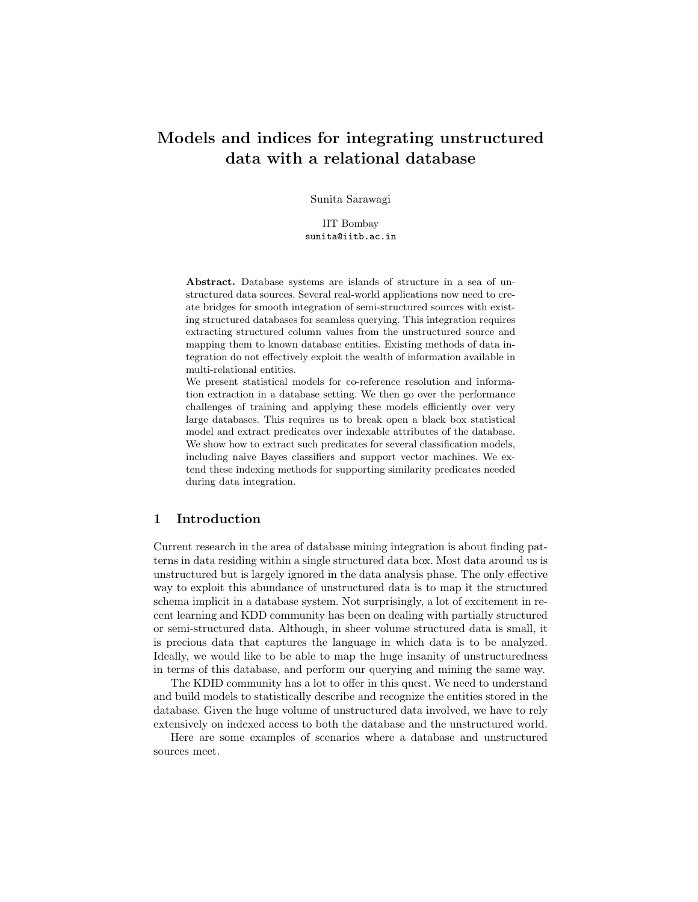# Models and indices for integrating unstructured data with a relational database

Sunita Sarawagi

IIT Bombay sunita@iitb.ac.in

Abstract. Database systems are islands of structure in a sea of unstructured data sources. Several real-world applications now need to create bridges for smooth integration of semi-structured sources with existing structured databases for seamless querying. This integration requires extracting structured column values from the unstructured source and mapping them to known database entities. Existing methods of data integration do not effectively exploit the wealth of information available in multi-relational entities.

We present statistical models for co-reference resolution and information extraction in a database setting. We then go over the performance challenges of training and applying these models efficiently over very large databases. This requires us to break open a black box statistical model and extract predicates over indexable attributes of the database. We show how to extract such predicates for several classification models, including naive Bayes classifiers and support vector machines. We extend these indexing methods for supporting similarity predicates needed during data integration.

## 1 Introduction

Current research in the area of database mining integration is about finding patterns in data residing within a single structured data box. Most data around us is unstructured but is largely ignored in the data analysis phase. The only effective way to exploit this abundance of unstructured data is to map it the structured schema implicit in a database system. Not surprisingly, a lot of excitement in recent learning and KDD community has been on dealing with partially structured or semi-structured data. Although, in sheer volume structured data is small, it is precious data that captures the language in which data is to be analyzed. Ideally, we would like to be able to map the huge insanity of unstructuredness in terms of this database, and perform our querying and mining the same way.

The KDID community has a lot to offer in this quest. We need to understand and build models to statistically describe and recognize the entities stored in the database. Given the huge volume of unstructured data involved, we have to rely extensively on indexed access to both the database and the unstructured world.

Here are some examples of scenarios where a database and unstructured sources meet.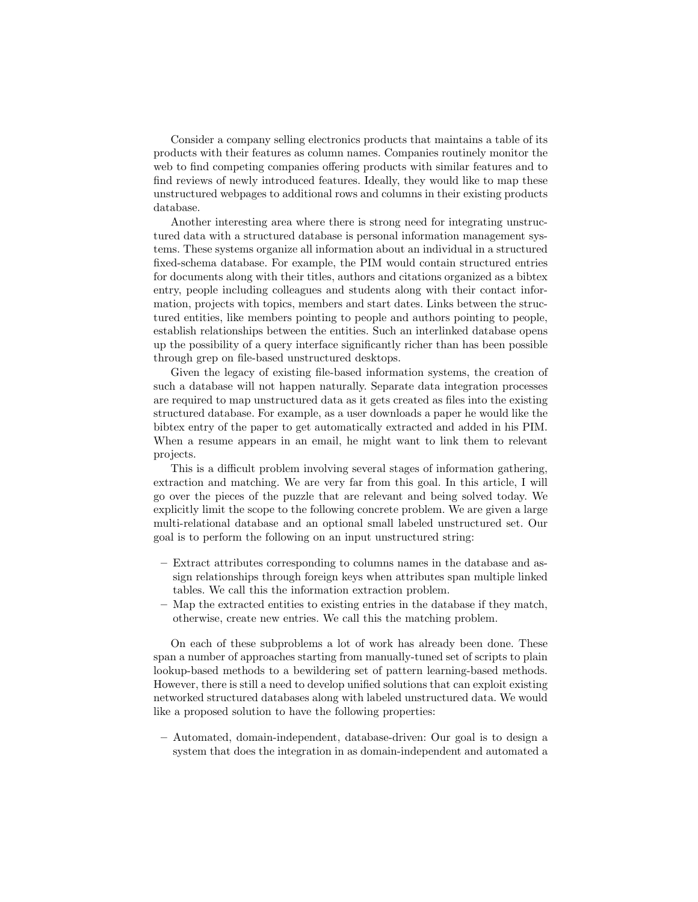Consider a company selling electronics products that maintains a table of its products with their features as column names. Companies routinely monitor the web to find competing companies offering products with similar features and to find reviews of newly introduced features. Ideally, they would like to map these unstructured webpages to additional rows and columns in their existing products database.

Another interesting area where there is strong need for integrating unstructured data with a structured database is personal information management systems. These systems organize all information about an individual in a structured fixed-schema database. For example, the PIM would contain structured entries for documents along with their titles, authors and citations organized as a bibtex entry, people including colleagues and students along with their contact information, projects with topics, members and start dates. Links between the structured entities, like members pointing to people and authors pointing to people, establish relationships between the entities. Such an interlinked database opens up the possibility of a query interface significantly richer than has been possible through grep on file-based unstructured desktops.

Given the legacy of existing file-based information systems, the creation of such a database will not happen naturally. Separate data integration processes are required to map unstructured data as it gets created as files into the existing structured database. For example, as a user downloads a paper he would like the bibtex entry of the paper to get automatically extracted and added in his PIM. When a resume appears in an email, he might want to link them to relevant projects.

This is a difficult problem involving several stages of information gathering, extraction and matching. We are very far from this goal. In this article, I will go over the pieces of the puzzle that are relevant and being solved today. We explicitly limit the scope to the following concrete problem. We are given a large multi-relational database and an optional small labeled unstructured set. Our goal is to perform the following on an input unstructured string:

- Extract attributes corresponding to columns names in the database and assign relationships through foreign keys when attributes span multiple linked tables. We call this the information extraction problem.
- Map the extracted entities to existing entries in the database if they match, otherwise, create new entries. We call this the matching problem.

On each of these subproblems a lot of work has already been done. These span a number of approaches starting from manually-tuned set of scripts to plain lookup-based methods to a bewildering set of pattern learning-based methods. However, there is still a need to develop unified solutions that can exploit existing networked structured databases along with labeled unstructured data. We would like a proposed solution to have the following properties:

– Automated, domain-independent, database-driven: Our goal is to design a system that does the integration in as domain-independent and automated a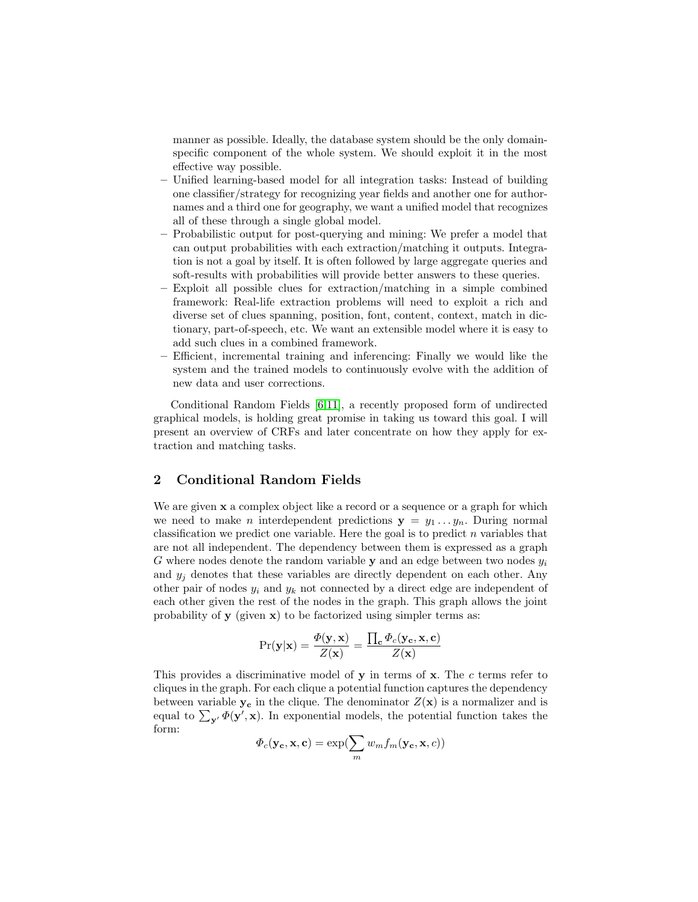manner as possible. Ideally, the database system should be the only domainspecific component of the whole system. We should exploit it in the most effective way possible.

- Unified learning-based model for all integration tasks: Instead of building one classifier/strategy for recognizing year fields and another one for authornames and a third one for geography, we want a unified model that recognizes all of these through a single global model.
- Probabilistic output for post-querying and mining: We prefer a model that can output probabilities with each extraction/matching it outputs. Integration is not a goal by itself. It is often followed by large aggregate queries and soft-results with probabilities will provide better answers to these queries.
- Exploit all possible clues for extraction/matching in a simple combined framework: Real-life extraction problems will need to exploit a rich and diverse set of clues spanning, position, font, content, context, match in dictionary, part-of-speech, etc. We want an extensible model where it is easy to add such clues in a combined framework.
- Efficient, incremental training and inferencing: Finally we would like the system and the trained models to continuously evolve with the addition of new data and user corrections.

Conditional Random Fields [\[6,](#page-8-0)[11\]](#page-9-0), a recently proposed form of undirected graphical models, is holding great promise in taking us toward this goal. I will present an overview of CRFs and later concentrate on how they apply for extraction and matching tasks.

## 2 Conditional Random Fields

We are given x a complex object like a record or a sequence or a graph for which we need to make *n* interdependent predictions  $y = y_1 \dots y_n$ . During normal classification we predict one variable. Here the goal is to predict  $n$  variables that are not all independent. The dependency between them is expressed as a graph G where nodes denote the random variable y and an edge between two nodes  $y_i$ and  $y_j$  denotes that these variables are directly dependent on each other. Any other pair of nodes  $y_i$  and  $y_k$  not connected by a direct edge are independent of each other given the rest of the nodes in the graph. This graph allows the joint probability of  $y$  (given  $x$ ) to be factorized using simpler terms as:

$$
\Pr(\mathbf{y}|\mathbf{x}) = \frac{\Phi(\mathbf{y}, \mathbf{x})}{Z(\mathbf{x})} = \frac{\prod_{\mathbf{c}} \Phi_c(\mathbf{y}_\mathbf{c}, \mathbf{x}, \mathbf{c})}{Z(\mathbf{x})}
$$

This provides a discriminative model of  $y$  in terms of  $x$ . The  $c$  terms refer to cliques in the graph. For each clique a potential function captures the dependency between variable  $y_c$  in the clique. The denominator  $Z(x)$  is a normalizer and is equal to  $\sum_{\mathbf{y}'} \Phi(\mathbf{y}', \mathbf{x})$ . In exponential models, the potential function takes the form:

$$
\Phi_c(\mathbf{y_c}, \mathbf{x}, \mathbf{c}) = \exp(\sum_m w_m f_m(\mathbf{y_c}, \mathbf{x}, c))
$$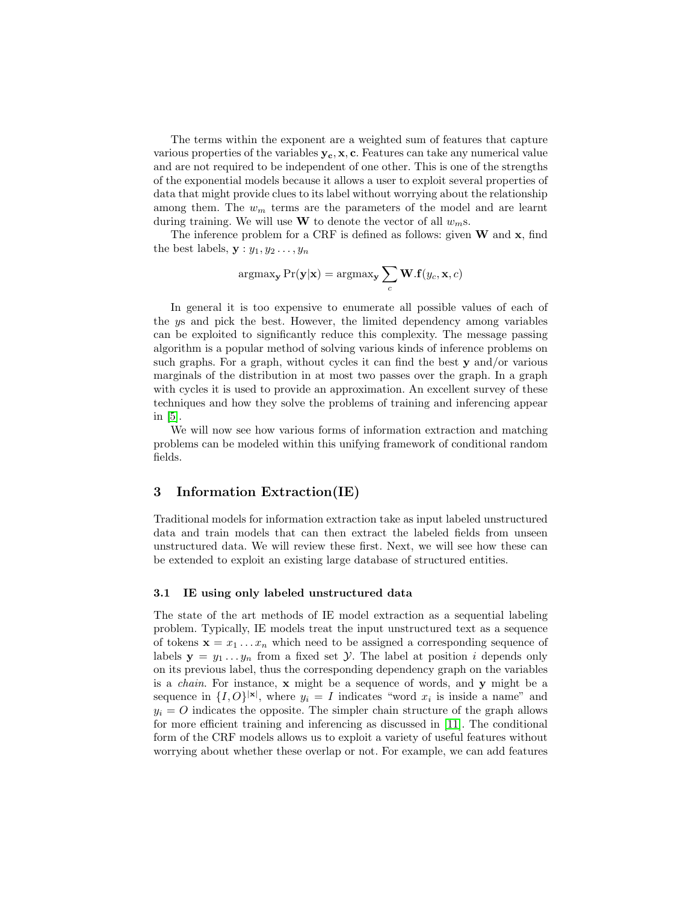The terms within the exponent are a weighted sum of features that capture various properties of the variables  $y_c$ , x, c. Features can take any numerical value and are not required to be independent of one other. This is one of the strengths of the exponential models because it allows a user to exploit several properties of data that might provide clues to its label without worrying about the relationship among them. The  $w_m$  terms are the parameters of the model and are learnt during training. We will use **W** to denote the vector of all  $w_m$ s.

The inference problem for a CRF is defined as follows: given  $W$  and  $x$ , find the best labels,  $\mathbf{y}: y_1, y_2 \ldots, y_n$ 

$$
\mathrm{argmax}_{\mathbf{y}} \Pr(\mathbf{y}|\mathbf{x}) = \mathrm{argmax}_{\mathbf{y}} \sum_{c} \mathbf{W}.\mathbf{f}(y_c, \mathbf{x}, c)
$$

In general it is too expensive to enumerate all possible values of each of the ys and pick the best. However, the limited dependency among variables can be exploited to significantly reduce this complexity. The message passing algorithm is a popular method of solving various kinds of inference problems on such graphs. For a graph, without cycles it can find the best y and/or various marginals of the distribution in at most two passes over the graph. In a graph with cycles it is used to provide an approximation. An excellent survey of these techniques and how they solve the problems of training and inferencing appear in [\[5\]](#page-8-1).

We will now see how various forms of information extraction and matching problems can be modeled within this unifying framework of conditional random fields.

## 3 Information Extraction(IE)

Traditional models for information extraction take as input labeled unstructured data and train models that can then extract the labeled fields from unseen unstructured data. We will review these first. Next, we will see how these can be extended to exploit an existing large database of structured entities.

#### 3.1 IE using only labeled unstructured data

The state of the art methods of IE model extraction as a sequential labeling problem. Typically, IE models treat the input unstructured text as a sequence of tokens  $\mathbf{x} = x_1 \dots x_n$  which need to be assigned a corresponding sequence of labels  $y = y_1 \dots y_n$  from a fixed set Y. The label at position i depends only on its previous label, thus the corresponding dependency graph on the variables is a chain. For instance, x might be a sequence of words, and y might be a sequence in  $\{I, O\}^{|x|}$ , where  $y_i = I$  indicates "word  $x_i$  is inside a name" and  $y_i = O$  indicates the opposite. The simpler chain structure of the graph allows for more efficient training and inferencing as discussed in [\[11\]](#page-9-0). The conditional form of the CRF models allows us to exploit a variety of useful features without worrying about whether these overlap or not. For example, we can add features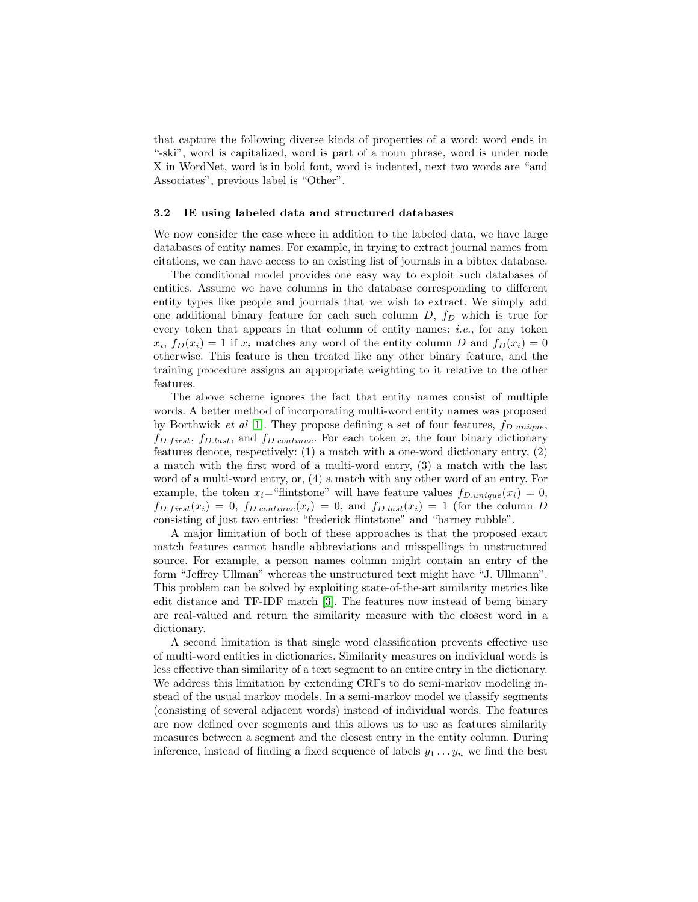that capture the following diverse kinds of properties of a word: word ends in "-ski", word is capitalized, word is part of a noun phrase, word is under node X in WordNet, word is in bold font, word is indented, next two words are "and Associates", previous label is "Other".

#### 3.2 IE using labeled data and structured databases

We now consider the case where in addition to the labeled data, we have large databases of entity names. For example, in trying to extract journal names from citations, we can have access to an existing list of journals in a bibtex database.

The conditional model provides one easy way to exploit such databases of entities. Assume we have columns in the database corresponding to different entity types like people and journals that we wish to extract. We simply add one additional binary feature for each such column  $D$ ,  $f_D$  which is true for every token that appears in that column of entity names: *i.e.*, for any token  $x_i$ ,  $f_D(x_i) = 1$  if  $x_i$  matches any word of the entity column D and  $f_D(x_i) = 0$ otherwise. This feature is then treated like any other binary feature, and the training procedure assigns an appropriate weighting to it relative to the other features.

The above scheme ignores the fact that entity names consist of multiple words. A better method of incorporating multi-word entity names was proposed by Borthwick et al [\[1\]](#page-8-2). They propose defining a set of four features,  $f_{D.unique}$ ,  $f_{D. first}$ ,  $f_{D. last}$ , and  $f_{D. continue}$ . For each token  $x_i$  the four binary dictionary features denote, respectively: (1) a match with a one-word dictionary entry, (2) a match with the first word of a multi-word entry, (3) a match with the last word of a multi-word entry, or, (4) a match with any other word of an entry. For example, the token  $x_i$ ="flintstone" will have feature values  $f_{D.unique}(x_i) = 0$ ,  $f_{D.first}(x_i) = 0, f_{D.continue}(x_i) = 0, \text{ and } f_{D.last}(x_i) = 1$  (for the column D consisting of just two entries: "frederick flintstone" and "barney rubble".

A major limitation of both of these approaches is that the proposed exact match features cannot handle abbreviations and misspellings in unstructured source. For example, a person names column might contain an entry of the form "Jeffrey Ullman" whereas the unstructured text might have "J. Ullmann". This problem can be solved by exploiting state-of-the-art similarity metrics like edit distance and TF-IDF match [\[3\]](#page-8-3). The features now instead of being binary are real-valued and return the similarity measure with the closest word in a dictionary.

A second limitation is that single word classification prevents effective use of multi-word entities in dictionaries. Similarity measures on individual words is less effective than similarity of a text segment to an entire entry in the dictionary. We address this limitation by extending CRFs to do semi-markov modeling instead of the usual markov models. In a semi-markov model we classify segments (consisting of several adjacent words) instead of individual words. The features are now defined over segments and this allows us to use as features similarity measures between a segment and the closest entry in the entity column. During inference, instead of finding a fixed sequence of labels  $y_1 \ldots y_n$  we find the best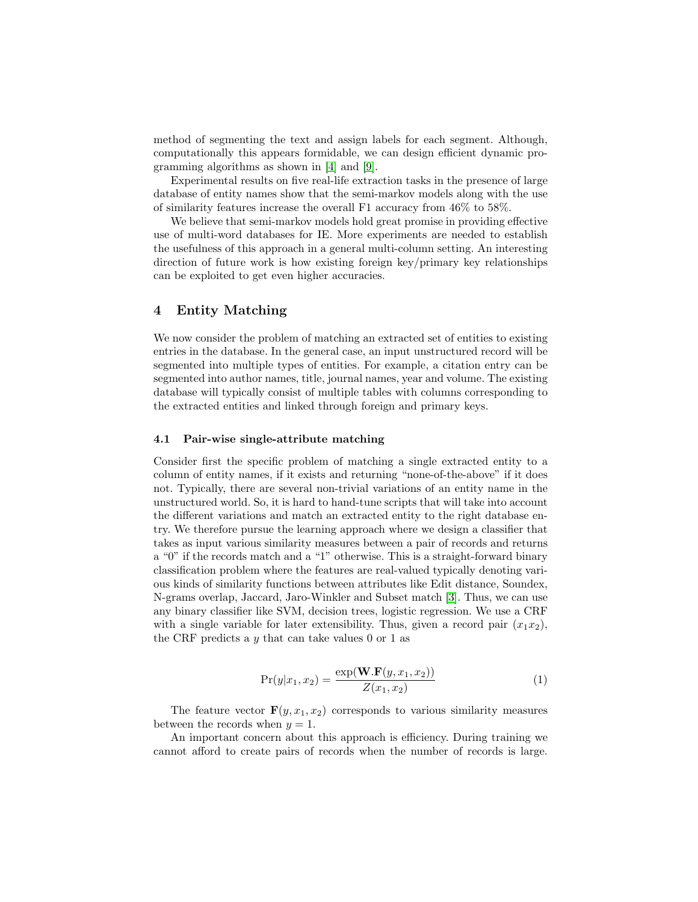method of segmenting the text and assign labels for each segment. Although, computationally this appears formidable, we can design efficient dynamic programming algorithms as shown in [\[4\]](#page-8-4) and [\[9\]](#page-9-1).

Experimental results on five real-life extraction tasks in the presence of large database of entity names show that the semi-markov models along with the use of similarity features increase the overall F1 accuracy from 46% to 58%.

We believe that semi-markov models hold great promise in providing effective use of multi-word databases for IE. More experiments are needed to establish the usefulness of this approach in a general multi-column setting. An interesting direction of future work is how existing foreign key/primary key relationships can be exploited to get even higher accuracies.

## 4 Entity Matching

We now consider the problem of matching an extracted set of entities to existing entries in the database. In the general case, an input unstructured record will be segmented into multiple types of entities. For example, a citation entry can be segmented into author names, title, journal names, year and volume. The existing database will typically consist of multiple tables with columns corresponding to the extracted entities and linked through foreign and primary keys.

### <span id="page-5-0"></span>4.1 Pair-wise single-attribute matching

Consider first the specific problem of matching a single extracted entity to a column of entity names, if it exists and returning "none-of-the-above" if it does not. Typically, there are several non-trivial variations of an entity name in the unstructured world. So, it is hard to hand-tune scripts that will take into account the different variations and match an extracted entity to the right database entry. We therefore pursue the learning approach where we design a classifier that takes as input various similarity measures between a pair of records and returns a "0" if the records match and a "1" otherwise. This is a straight-forward binary classification problem where the features are real-valued typically denoting various kinds of similarity functions between attributes like Edit distance, Soundex, N-grams overlap, Jaccard, Jaro-Winkler and Subset match [\[3\]](#page-8-3). Thus, we can use any binary classifier like SVM, decision trees, logistic regression. We use a CRF with a single variable for later extensibility. Thus, given a record pair  $(x_1x_2)$ , the CRF predicts a  $y$  that can take values 0 or 1 as

<span id="page-5-1"></span>
$$
Pr(y|x_1, x_2) = \frac{exp(\mathbf{W}.\mathbf{F}(y, x_1, x_2))}{Z(x_1, x_2)}
$$
(1)

The feature vector  $\mathbf{F}(y, x_1, x_2)$  corresponds to various similarity measures between the records when  $y = 1$ .

An important concern about this approach is efficiency. During training we cannot afford to create pairs of records when the number of records is large.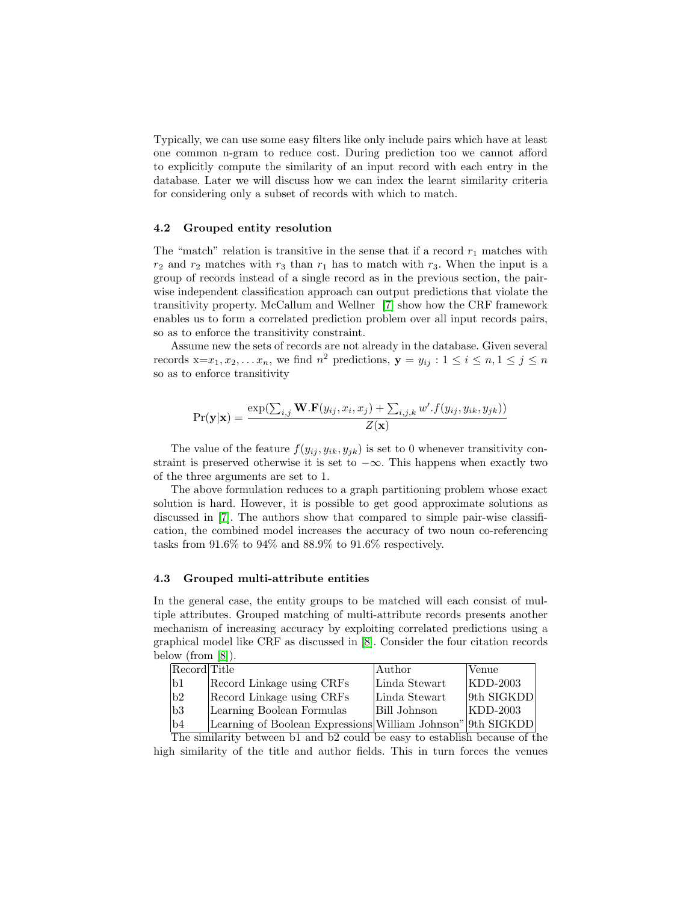Typically, we can use some easy filters like only include pairs which have at least one common n-gram to reduce cost. During prediction too we cannot afford to explicitly compute the similarity of an input record with each entry in the database. Later we will discuss how we can index the learnt similarity criteria for considering only a subset of records with which to match.

#### 4.2 Grouped entity resolution

The "match" relation is transitive in the sense that if a record  $r_1$  matches with  $r_2$  and  $r_2$  matches with  $r_3$  than  $r_1$  has to match with  $r_3$ . When the input is a group of records instead of a single record as in the previous section, the pairwise independent classification approach can output predictions that violate the transitivity property. McCallum and Wellner [\[7\]](#page-8-5) show how the CRF framework enables us to form a correlated prediction problem over all input records pairs, so as to enforce the transitivity constraint.

Assume new the sets of records are not already in the database. Given several records  $x=x_1, x_2, \ldots x_n$ , we find  $n^2$  predictions,  $y = y_{ij} : 1 \le i \le n, 1 \le j \le n$ so as to enforce transitivity

$$
\Pr(\mathbf{y}|\mathbf{x}) = \frac{\exp(\sum_{i,j} \mathbf{W}.\mathbf{F}(y_{ij}, x_i, x_j) + \sum_{i,j,k} w'.f(y_{ij}, y_{ik}, y_{jk}))}{Z(\mathbf{x})}
$$

The value of the feature  $f(y_{ij}, y_{ik}, y_{jk})$  is set to 0 whenever transitivity constraint is preserved otherwise it is set to  $-\infty$ . This happens when exactly two of the three arguments are set to 1.

The above formulation reduces to a graph partitioning problem whose exact solution is hard. However, it is possible to get good approximate solutions as discussed in [\[7\]](#page-8-5). The authors show that compared to simple pair-wise classification, the combined model increases the accuracy of two noun co-referencing tasks from 91.6% to 94% and 88.9% to 91.6% respectively.

#### 4.3 Grouped multi-attribute entities

In the general case, the entity groups to be matched will each consist of multiple attributes. Grouped matching of multi-attribute records presents another mechanism of increasing accuracy by exploiting correlated predictions using a graphical model like CRF as discussed in [\[8\]](#page-9-2). Consider the four citation records below (from [\[8\]](#page-9-2)).

| Record Title |                                                             | Author        | Venue        |
|--------------|-------------------------------------------------------------|---------------|--------------|
| b1           | Record Linkage using CRFs                                   | Linda Stewart | $ KDD-2003$  |
| b2           | Record Linkage using CRFs                                   | Linda Stewart | $9th$ SIGKDD |
| b3           | Learning Boolean Formulas                                   | Bill Johnson  | $ KDD-2003 $ |
| b4           | Learning of Boolean Expressions William Johnson" 9th SIGKDD |               |              |

The similarity between b1 and b2 could be easy to establish because of the high similarity of the title and author fields. This in turn forces the venues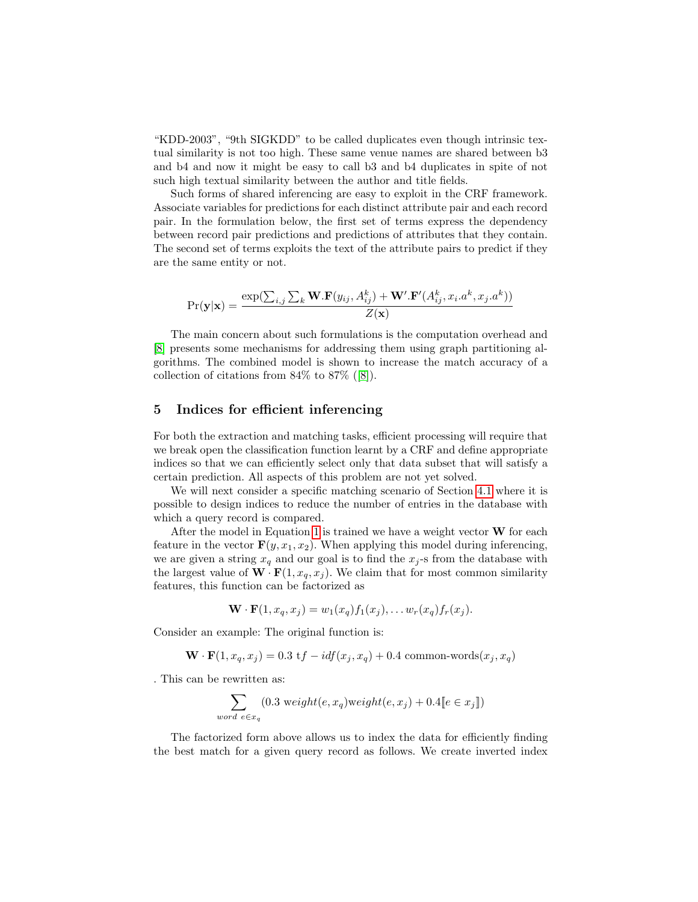"KDD-2003", "9th SIGKDD" to be called duplicates even though intrinsic textual similarity is not too high. These same venue names are shared between b3 and b4 and now it might be easy to call b3 and b4 duplicates in spite of not such high textual similarity between the author and title fields.

Such forms of shared inferencing are easy to exploit in the CRF framework. Associate variables for predictions for each distinct attribute pair and each record pair. In the formulation below, the first set of terms express the dependency between record pair predictions and predictions of attributes that they contain. The second set of terms exploits the text of the attribute pairs to predict if they are the same entity or not.

$$
\Pr(\mathbf{y}|\mathbf{x}) = \frac{\exp(\sum_{i,j}\sum_{k}\mathbf{W}.\mathbf{F}(y_{ij}, A_{ij}^k) + \mathbf{W}'.\mathbf{F}'(A_{ij}^k, x_i.a^k, x_j.a^k))}{Z(\mathbf{x})}
$$

The main concern about such formulations is the computation overhead and [\[8\]](#page-9-2) presents some mechanisms for addressing them using graph partitioning algorithms. The combined model is shown to increase the match accuracy of a collection of citations from 84% to 87% ([\[8\]](#page-9-2)).

## 5 Indices for efficient inferencing

For both the extraction and matching tasks, efficient processing will require that we break open the classification function learnt by a CRF and define appropriate indices so that we can efficiently select only that data subset that will satisfy a certain prediction. All aspects of this problem are not yet solved.

We will next consider a specific matching scenario of Section [4.1](#page-5-0) where it is possible to design indices to reduce the number of entries in the database with which a query record is compared.

After the model in Equation [1](#page-5-1) is trained we have a weight vector  $W$  for each feature in the vector  $\mathbf{F}(y, x_1, x_2)$ . When applying this model during inferencing, we are given a string  $x_q$  and our goal is to find the  $x_j$ -s from the database with the largest value of  $\mathbf{W} \cdot \mathbf{F}(1, x_q, x_j)$ . We claim that for most common similarity features, this function can be factorized as

$$
\mathbf{W} \cdot \mathbf{F}(1, x_q, x_j) = w_1(x_q) f_1(x_j), \dots w_r(x_q) f_r(x_j).
$$

Consider an example: The original function is:

$$
\mathbf{W} \cdot \mathbf{F}(1, x_q, x_j) = 0.3 \text{ tf} - idf(x_j, x_q) + 0.4 \text{ common-words}(x_j, x_q)
$$

. This can be rewritten as:

$$
\sum_{word e \in x_q} (0.3 \text{ weight}(e, x_q) \text{weight}(e, x_j) + 0.4[e \in x_j])
$$

The factorized form above allows us to index the data for efficiently finding the best match for a given query record as follows. We create inverted index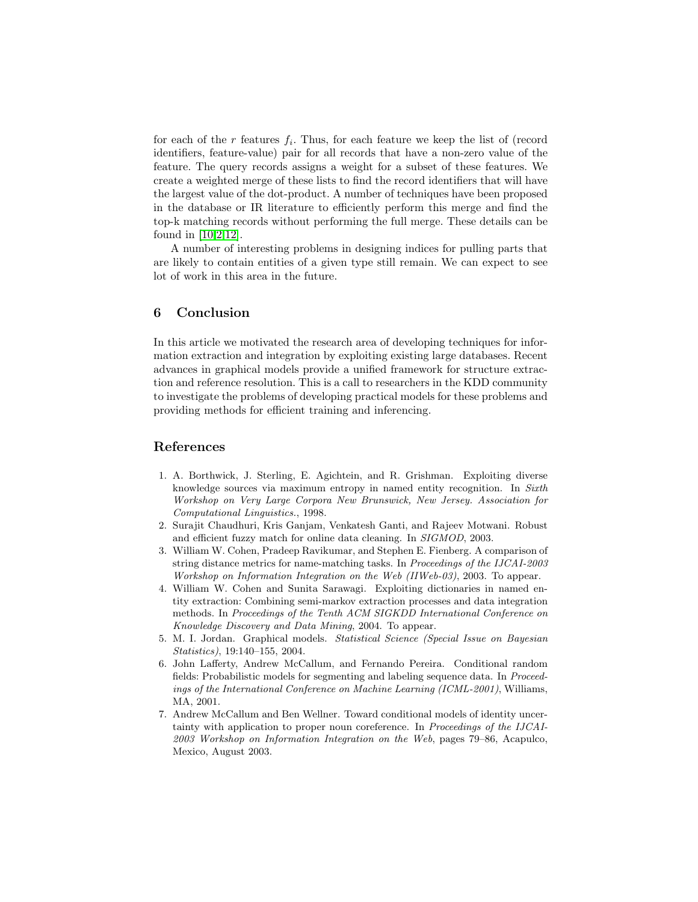for each of the r features  $f_i$ . Thus, for each feature we keep the list of (record identifiers, feature-value) pair for all records that have a non-zero value of the feature. The query records assigns a weight for a subset of these features. We create a weighted merge of these lists to find the record identifiers that will have the largest value of the dot-product. A number of techniques have been proposed in the database or IR literature to efficiently perform this merge and find the top-k matching records without performing the full merge. These details can be found in [\[10,](#page-9-3)[2,](#page-8-6)[12\]](#page-9-4).

A number of interesting problems in designing indices for pulling parts that are likely to contain entities of a given type still remain. We can expect to see lot of work in this area in the future.

## 6 Conclusion

In this article we motivated the research area of developing techniques for information extraction and integration by exploiting existing large databases. Recent advances in graphical models provide a unified framework for structure extraction and reference resolution. This is a call to researchers in the KDD community to investigate the problems of developing practical models for these problems and providing methods for efficient training and inferencing.

# References

- <span id="page-8-2"></span>1. A. Borthwick, J. Sterling, E. Agichtein, and R. Grishman. Exploiting diverse knowledge sources via maximum entropy in named entity recognition. In Sixth Workshop on Very Large Corpora New Brunswick, New Jersey. Association for Computational Linguistics., 1998.
- <span id="page-8-6"></span>2. Surajit Chaudhuri, Kris Ganjam, Venkatesh Ganti, and Rajeev Motwani. Robust and efficient fuzzy match for online data cleaning. In SIGMOD, 2003.
- <span id="page-8-3"></span>3. William W. Cohen, Pradeep Ravikumar, and Stephen E. Fienberg. A comparison of string distance metrics for name-matching tasks. In Proceedings of the IJCAI-2003 Workshop on Information Integration on the Web (IIWeb-03), 2003. To appear.
- <span id="page-8-4"></span>4. William W. Cohen and Sunita Sarawagi. Exploiting dictionaries in named entity extraction: Combining semi-markov extraction processes and data integration methods. In Proceedings of the Tenth ACM SIGKDD International Conference on Knowledge Discovery and Data Mining, 2004. To appear.
- <span id="page-8-1"></span>5. M. I. Jordan. Graphical models. Statistical Science (Special Issue on Bayesian Statistics), 19:140–155, 2004.
- <span id="page-8-0"></span>6. John Lafferty, Andrew McCallum, and Fernando Pereira. Conditional random fields: Probabilistic models for segmenting and labeling sequence data. In Proceedings of the International Conference on Machine Learning (ICML-2001), Williams, MA, 2001.
- <span id="page-8-5"></span>7. Andrew McCallum and Ben Wellner. Toward conditional models of identity uncertainty with application to proper noun coreference. In Proceedings of the IJCAI-2003 Workshop on Information Integration on the Web, pages 79–86, Acapulco, Mexico, August 2003.